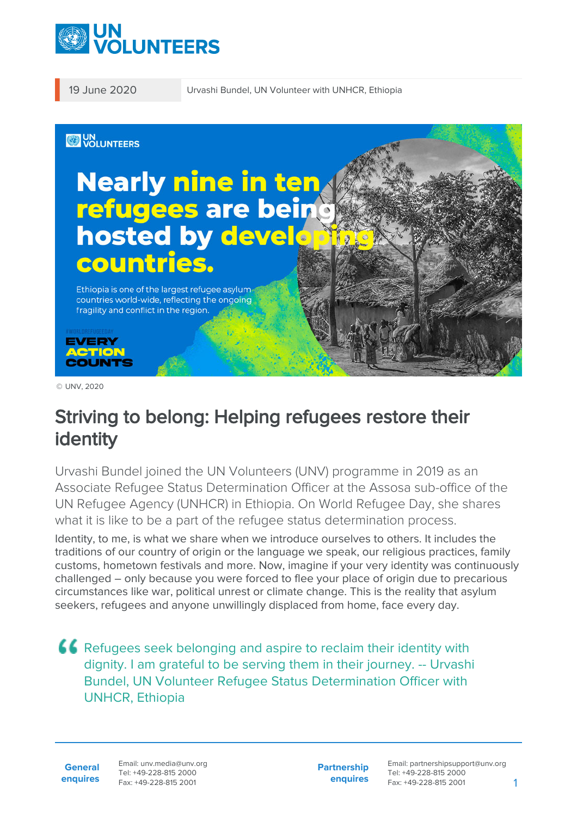

19 June 2020 Urvashi Bundel, UN Volunteer with UNHCR, Ethiopia



© UNV, 2020

# Striving to belong: Helping refugees restore their identity

Urvashi Bundel joined the UN Volunteers (UNV) programme in 2019 as an Associate Refugee Status Determination Officer at the Assosa sub-office of the UN Refugee Agency (UNHCR) in Ethiopia. On World Refugee Day, she shares what it is like to be a part of the refugee status determination process.

Identity, to me, is what we share when we introduce ourselves to others. It includes the traditions of our country of origin or the language we speak, our religious practices, family customs, hometown festivals and more. Now, imagine if your very identity was continuously challenged – only because you were forced to flee your place of origin due to precarious circumstances like war, political unrest or climate change. This is the reality that asylum seekers, refugees and anyone unwillingly displaced from home, face every day.

Refugees seek belonging and aspire to reclaim their identity with dignity. I am grateful to be serving them in their journey. -- Urvashi Bundel, UN Volunteer Refugee Status Determination Officer with UNHCR, Ethiopia

**General enquires** Email: unv.media@unv.org Tel: +49-228-815 2000 Fax: +49-228-815 2001

**Partnership enquires** Email: partnershipsupport@unv.org Tel: +49-228-815 2000 Fax: +49-228-815 2001 1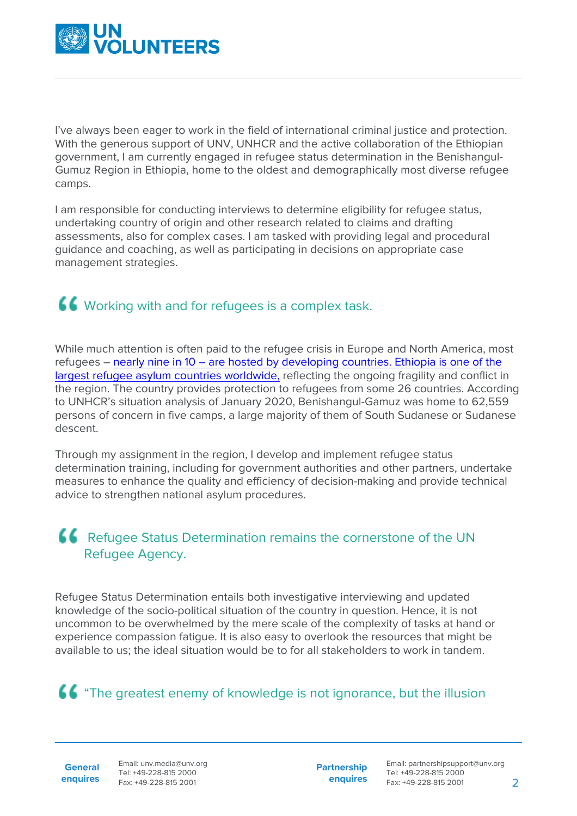

I've always been eager to work in the field of international criminal justice and protection. With the generous support of UNV, UNHCR and the active collaboration of the Ethiopian government, I am currently engaged in refugee status determination in the Benishangul-Gumuz Region in Ethiopia, home to the oldest and demographically most diverse refugee camps.

I am responsible for conducting interviews to determine eligibility for refugee status, undertaking country of origin and other research related to claims and drafting assessments, also for complex cases. I am tasked with providing legal and procedural guidance and coaching, as well as participating in decisions on appropriate case management strategies.

## **44** Working with and for refugees is a complex task.

While much attention is often paid to the refugee crisis in Europe and North America, most refugees – [nearly nine in 10 – are hosted by developing countries. Ethiopia is one of the](https://reliefweb.int/sites/reliefweb.int/files/resources/73571.pdf) [largest refugee asylum countries worldwide,](https://reliefweb.int/sites/reliefweb.int/files/resources/73571.pdf) reflecting the ongoing fragility and conflict in the region. The country provides protection to refugees from some 26 countries. According to UNHCR's situation analysis of January 2020, Benishangul-Gamuz was home to 62,559 persons of concern in five camps, a large majority of them of South Sudanese or Sudanese descent.

Through my assignment in the region, I develop and implement refugee status determination training, including for government authorities and other partners, undertake measures to enhance the quality and efficiency of decision-making and provide technical advice to strengthen national asylum procedures.

#### Refugee Status Determination remains the cornerstone of the UN Refugee Agency.

Refugee Status Determination entails both investigative interviewing and updated knowledge of the socio-political situation of the country in question. Hence, it is not uncommon to be overwhelmed by the mere scale of the complexity of tasks at hand or experience compassion fatigue. It is also easy to overlook the resources that might be available to us; the ideal situation would be to for all stakeholders to work in tandem.

### **66** "The greatest enemy of knowledge is not ignorance, but the illusion

**General**

**enquires** Fax: +49-228-815 2001 Email: unv.media@unv.org Tel: +49-228-815 2000

**Partnership enquires**

Email: partnershipsupport@unv.org Tel: +49-228-815 2000 Fax: +49-228-815 2001 2